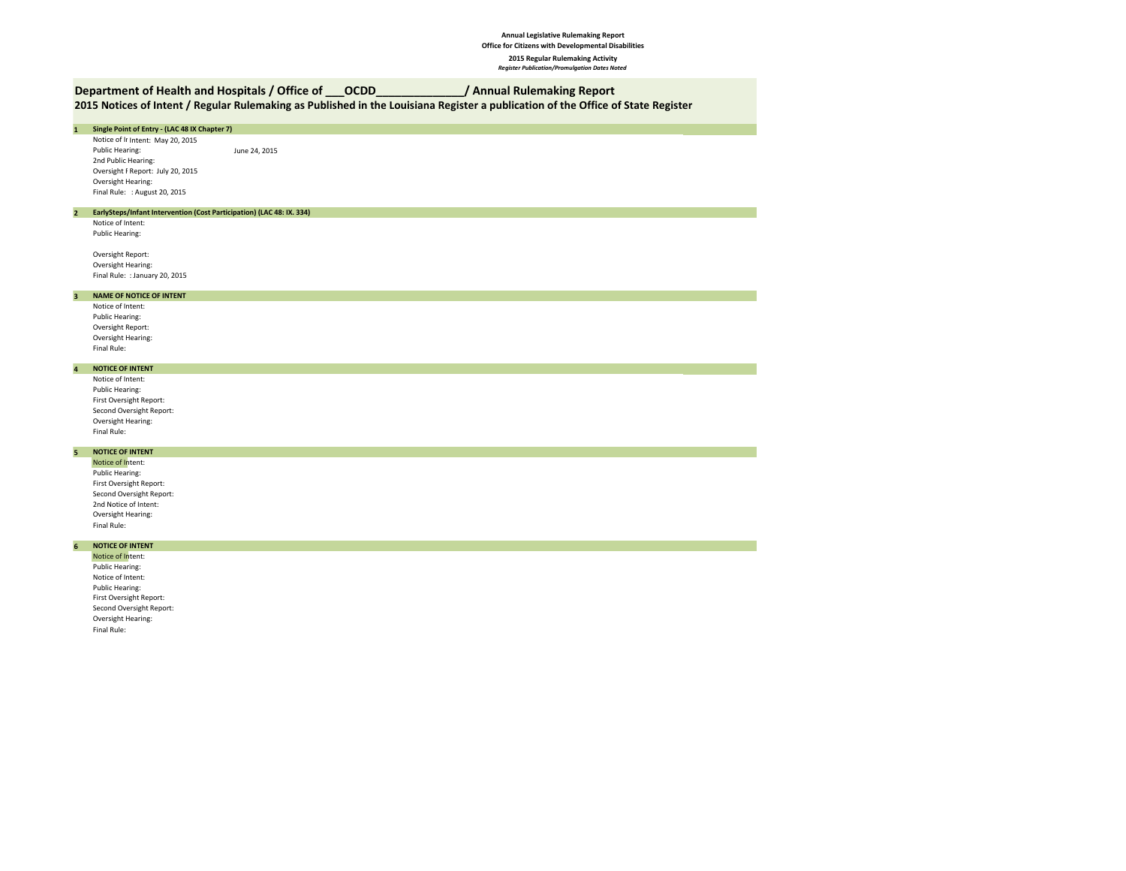# **Department of Health and Hospitals / Office of \_\_\_OCDD\_\_\_\_\_\_\_\_\_\_\_\_\_\_/ Annual Rulemaking Report**

# **2015 Notices of Intent / Regular Rulemaking as Published in the Louisiana Register a publication of the Office of State Register**

# **1 Single Point of Entry - (LAC 48 IX Chapter 7)** Notice of It Intent: May 20, 2015<br>Public Hearing: June 24, 2015 2nd Public Hearing: Oversight F Report: July 20, 2015 Oversight Hearing: Final Rule: : August 20, 2015 **2 EarlySteps/Infant Intervention (Cost Participation) (LAC 48: IX. 334)** Notice of Intent: Public Hearing: Oversight Report: Oversight Hearing: Final Rule: : January 20, 2015 **3 NAME OF NOTICE OF INTENT**Notice of Intent: Public Hearing: Oversight Report: Oversight Hearing: Final Rule: **4 NOTICE OF INTENT** Notice of Intent:

Public Hearing: First Oversight Report: Second Oversight Report: Oversight Hearing: Final Rule:

# **5 NOTICE OF INTENT**

Notice of Intent: Public Hearing: First Oversight Report: Second Oversight Report: 2nd Notice of Intent: Oversight Hearing: Final Rule:

# **6 NOTICE OF INTENT**

Notice of Intent: Public Hearing: Notice of Intent: Public Hearing: First Oversight Report: Second Oversight Report: Oversight Hearing: Final Rule: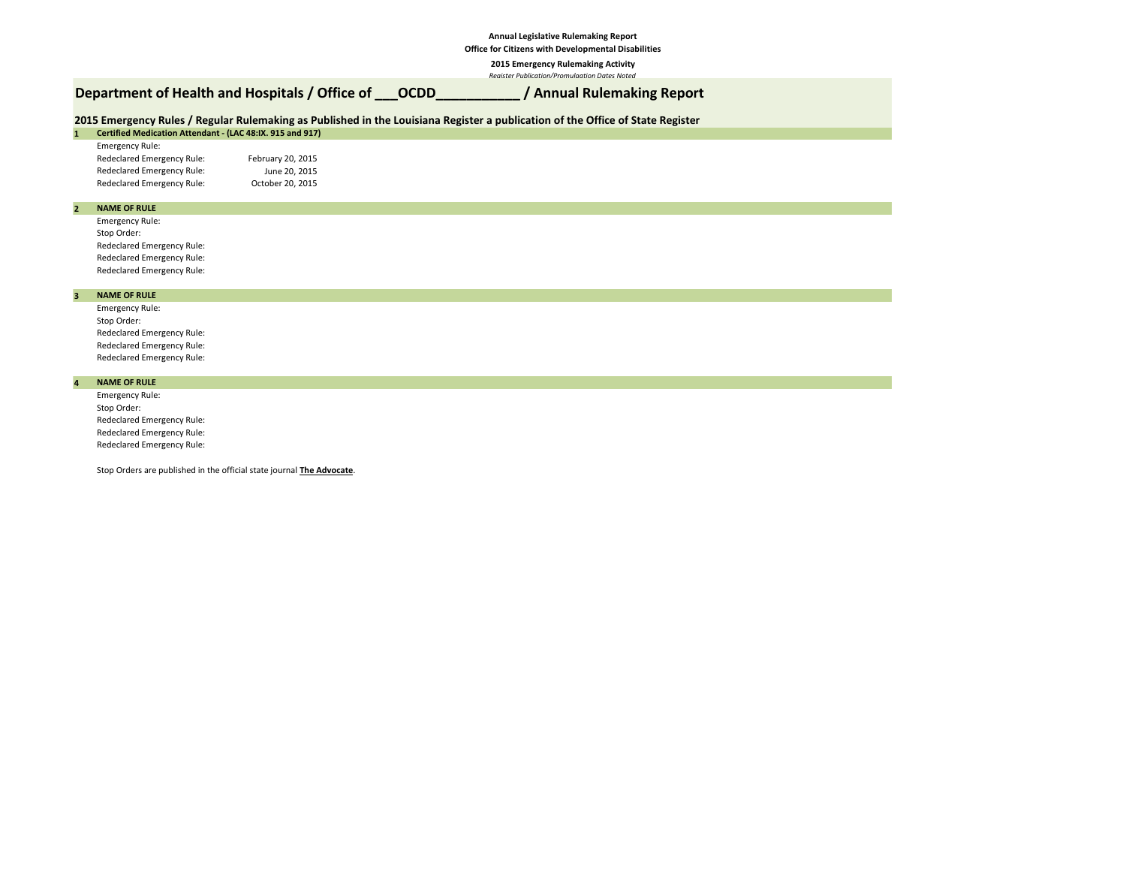# **Annual Legislative Rulemaking Report**

**Office for Citizens with Developmental Disabilities**

**2015 Emergency Rulemaking Activity**

*Register Publication/Promulgation Dates Noted*

# **Department of Health and Hospitals / Office of \_\_\_OCDD\_\_\_\_\_\_\_\_\_\_\_ / Annual Rulemaking Report**

## **1 2015 Emergency Rules / Regular Rulemaking as Published in the Louisiana Register a publication of the Office of State Register**

| Certified Medication Attendant - (LAC 48:IX. 915 and 917) |                   |
|-----------------------------------------------------------|-------------------|
| <b>Emergency Rule:</b>                                    |                   |
| Redeclared Emergency Rule:                                | February 20, 2015 |
| Redeclared Emergency Rule:                                | June 20, 2015     |
| Redeclared Emergency Rule:                                | October 20, 2015  |

### **2 NAME OF RULE**

Emergency Rule: Stop Order: Redeclared Emergency Rule: Redeclared Emergency Rule: Redeclared Emergency Rule:

#### **3 NAME OF RULE**

Emergency Rule: Stop Order: Redeclared Emergency Rule: Redeclared Emergency Rule: Redeclared Emergency Rule:

## **NAME OF RULE**

**4**

Emergency Rule: Stop Order: Redeclared Emergency Rule: Redeclared Emergency Rule: Redeclared Emergency Rule:

Stop Orders are published in the official state journal **The Advocate**.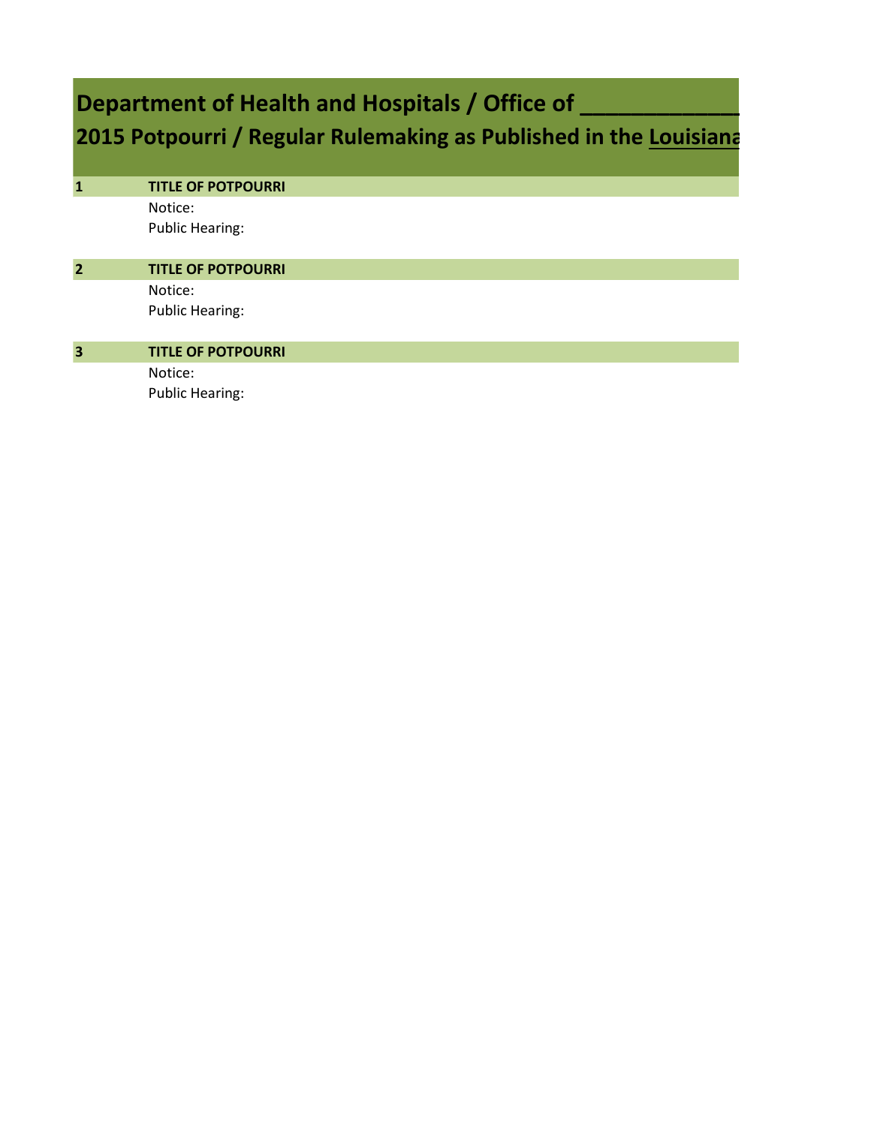# **Department of Health and Hospitals / Office of \_**

**2015 Potpourri / Regular Rulemaking as Published in the Louisiana** 

| $\mathbf{1}$            | <b>TITLE OF POTPOURRI</b> |
|-------------------------|---------------------------|
|                         | Notice:                   |
|                         | <b>Public Hearing:</b>    |
| $\overline{2}$          | <b>TITLE OF POTPOURRI</b> |
|                         |                           |
|                         | Notice:                   |
|                         | <b>Public Hearing:</b>    |
|                         |                           |
| $\overline{\mathbf{3}}$ | <b>TITLE OF POTPOURRI</b> |
|                         | Notice:                   |
|                         | <b>Public Hearing:</b>    |
|                         |                           |